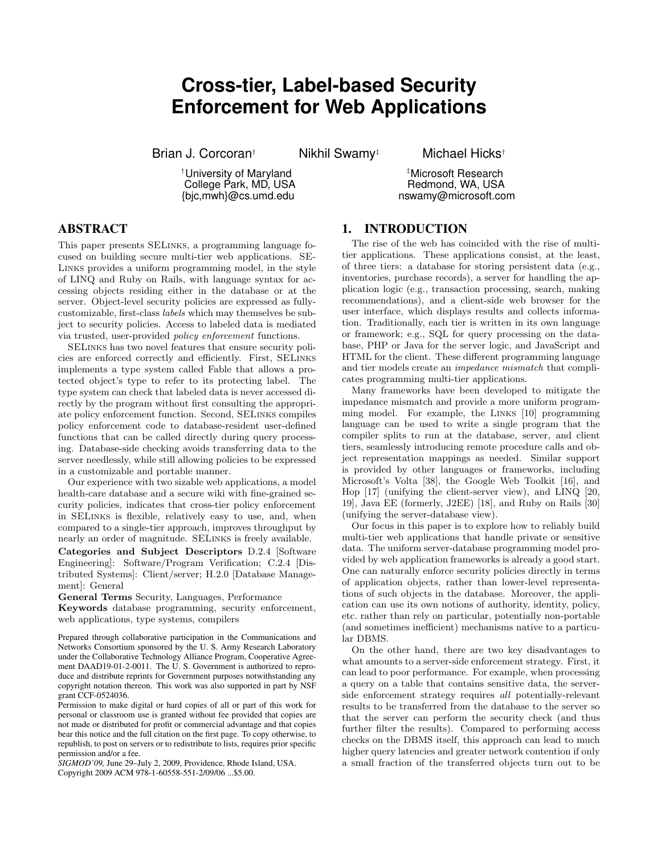# **Cross-tier, Label-based Security Enforcement for Web Applications**

Brian J. Corcoran† Nikhil Swamy‡ Michael Hicks<sup>†</sup>

†University of Maryland ‡Microsoft Research College Park, MD, USA

{bjc,mwh}@cs.umd.edu nswamy@microsoft.com

# ABSTRACT

This paper presents SELinks, a programming language focused on building secure multi-tier web applications. SE-Links provides a uniform programming model, in the style of LINQ and Ruby on Rails, with language syntax for accessing objects residing either in the database or at the server. Object-level security policies are expressed as fullycustomizable, first-class labels which may themselves be subject to security policies. Access to labeled data is mediated via trusted, user-provided policy enforcement functions.

SELinks has two novel features that ensure security policies are enforced correctly and efficiently. First, SELinks implements a type system called Fable that allows a protected object's type to refer to its protecting label. The type system can check that labeled data is never accessed directly by the program without first consulting the appropriate policy enforcement function. Second, SELinks compiles policy enforcement code to database-resident user-defined functions that can be called directly during query processing. Database-side checking avoids transferring data to the server needlessly, while still allowing policies to be expressed in a customizable and portable manner.

Our experience with two sizable web applications, a model health-care database and a secure wiki with fine-grained security policies, indicates that cross-tier policy enforcement in SELinks is flexible, relatively easy to use, and, when compared to a single-tier approach, improves throughput by nearly an order of magnitude. SELinks is freely available.

Categories and Subject Descriptors D.2.4 [Software Engineering]: Software/Program Verification; C.2.4 [Distributed Systems]: Client/server; H.2.0 [Database Management]: General

General Terms Security, Languages, Performance Keywords database programming, security enforcement, web applications, type systems, compilers

Prepared through collaborative participation in the Communications and Networks Consortium sponsored by the U. S. Army Research Laboratory under the Collaborative Technology Alliance Program, Cooperative Agreement DAAD19-01-2-0011. The U. S. Government is authorized to reproduce and distribute reprints for Government purposes notwithstanding any copyright notation thereon. This work was also supported in part by NSF grant CCF-0524036.

Permission to make digital or hard copies of all or part of this work for personal or classroom use is granted without fee provided that copies are not made or distributed for profit or commercial advantage and that copies bear this notice and the full citation on the first page. To copy otherwise, to republish, to post on servers or to redistribute to lists, requires prior specific permission and/or a fee.

*SIGMOD'09,* June 29–July 2, 2009, Providence, Rhode Island, USA. Copyright 2009 ACM 978-1-60558-551-2/09/06 ...\$5.00.

# 1. INTRODUCTION

The rise of the web has coincided with the rise of multitier applications. These applications consist, at the least, of three tiers: a database for storing persistent data (e.g., inventories, purchase records), a server for handling the application logic (e.g., transaction processing, search, making recommendations), and a client-side web browser for the user interface, which displays results and collects information. Traditionally, each tier is written in its own language or framework; e.g., SQL for query processing on the database, PHP or Java for the server logic, and JavaScript and HTML for the client. These different programming language and tier models create an impedance mismatch that complicates programming multi-tier applications.

Many frameworks have been developed to mitigate the impedance mismatch and provide a more uniform programming model. For example, the Links [10] programming language can be used to write a single program that the compiler splits to run at the database, server, and client tiers, seamlessly introducing remote procedure calls and object representation mappings as needed. Similar support is provided by other languages or frameworks, including Microsoft's Volta [38], the Google Web Toolkit [16], and Hop [17] (unifying the client-server view), and LINQ [20, 19], Java EE (formerly, J2EE) [18], and Ruby on Rails [30] (unifying the server-database view).

Our focus in this paper is to explore how to reliably build multi-tier web applications that handle private or sensitive data. The uniform server-database programming model provided by web application frameworks is already a good start. One can naturally enforce security policies directly in terms of application objects, rather than lower-level representations of such objects in the database. Moreover, the application can use its own notions of authority, identity, policy, etc. rather than rely on particular, potentially non-portable (and sometimes inefficient) mechanisms native to a particular DBMS.

On the other hand, there are two key disadvantages to what amounts to a server-side enforcement strategy. First, it can lead to poor performance. For example, when processing a query on a table that contains sensitive data, the serverside enforcement strategy requires all potentially-relevant results to be transferred from the database to the server so that the server can perform the security check (and thus further filter the results). Compared to performing access checks on the DBMS itself, this approach can lead to much higher query latencies and greater network contention if only a small fraction of the transferred objects turn out to be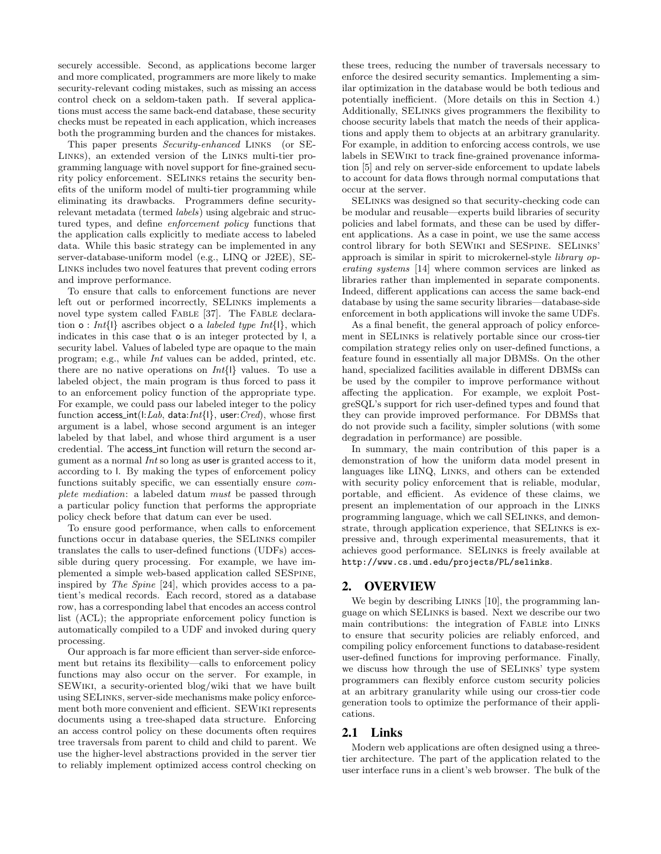securely accessible. Second, as applications become larger and more complicated, programmers are more likely to make security-relevant coding mistakes, such as missing an access control check on a seldom-taken path. If several applications must access the same back-end database, these security checks must be repeated in each application, which increases both the programming burden and the chances for mistakes.

This paper presents *Security-enhanced* LINKS (or SE-Links), an extended version of the Links multi-tier programming language with novel support for fine-grained security policy enforcement. SELinks retains the security benefits of the uniform model of multi-tier programming while eliminating its drawbacks. Programmers define securityrelevant metadata (termed labels) using algebraic and structured types, and define enforcement policy functions that the application calls explicitly to mediate access to labeled data. While this basic strategy can be implemented in any server-database-uniform model (e.g., LINQ or J2EE), SE-Links includes two novel features that prevent coding errors and improve performance.

To ensure that calls to enforcement functions are never left out or performed incorrectly, SELinks implements a novel type system called Fable [37]. The Fable declaration  $\circ$ : *Int*{l} ascribes object  $\circ$  a *labeled type Int*{l}, which indicates in this case that o is an integer protected by l, a security label. Values of labeled type are opaque to the main program; e.g., while Int values can be added, printed, etc. there are no native operations on  $Int\{\mathcal{C}\}\$  values. To use a labeled object, the main program is thus forced to pass it to an enforcement policy function of the appropriate type. For example, we could pass our labeled integer to the policy function access\_int(l: $Lab$ , data: $Int\{1\}$ , user:  $Cred$ ), whose first argument is a label, whose second argument is an integer labeled by that label, and whose third argument is a user credential. The access int function will return the second argument as a normal Int so long as user is granted access to it, according to l. By making the types of enforcement policy functions suitably specific, we can essentially ensure complete mediation: a labeled datum must be passed through a particular policy function that performs the appropriate policy check before that datum can ever be used.

To ensure good performance, when calls to enforcement functions occur in database queries, the SELinks compiler translates the calls to user-defined functions (UDFs) accessible during query processing. For example, we have implemented a simple web-based application called SESpine, inspired by The Spine [24], which provides access to a patient's medical records. Each record, stored as a database row, has a corresponding label that encodes an access control list (ACL); the appropriate enforcement policy function is automatically compiled to a UDF and invoked during query processing.

Our approach is far more efficient than server-side enforcement but retains its flexibility—calls to enforcement policy functions may also occur on the server. For example, in SEWiki, a security-oriented blog/wiki that we have built using SELinks, server-side mechanisms make policy enforcement both more convenient and efficient. SEWiki represents documents using a tree-shaped data structure. Enforcing an access control policy on these documents often requires tree traversals from parent to child and child to parent. We use the higher-level abstractions provided in the server tier to reliably implement optimized access control checking on these trees, reducing the number of traversals necessary to enforce the desired security semantics. Implementing a similar optimization in the database would be both tedious and potentially inefficient. (More details on this in Section 4.) Additionally, SELinks gives programmers the flexibility to choose security labels that match the needs of their applications and apply them to objects at an arbitrary granularity. For example, in addition to enforcing access controls, we use labels in SEWiki to track fine-grained provenance information [5] and rely on server-side enforcement to update labels to account for data flows through normal computations that occur at the server.

SELinks was designed so that security-checking code can be modular and reusable—experts build libraries of security policies and label formats, and these can be used by different applications. As a case in point, we use the same access control library for both SEWiki and SESpine. SELinks' approach is similar in spirit to microkernel-style library operating systems [14] where common services are linked as libraries rather than implemented in separate components. Indeed, different applications can access the same back-end database by using the same security libraries—database-side enforcement in both applications will invoke the same UDFs.

As a final benefit, the general approach of policy enforcement in SELinks is relatively portable since our cross-tier compilation strategy relies only on user-defined functions, a feature found in essentially all major DBMSs. On the other hand, specialized facilities available in different DBMSs can be used by the compiler to improve performance without affecting the application. For example, we exploit PostgreSQL's support for rich user-defined types and found that they can provide improved performance. For DBMSs that do not provide such a facility, simpler solutions (with some degradation in performance) are possible.

In summary, the main contribution of this paper is a demonstration of how the uniform data model present in languages like LINQ, Links, and others can be extended with security policy enforcement that is reliable, modular, portable, and efficient. As evidence of these claims, we present an implementation of our approach in the Links programming language, which we call SELinks, and demonstrate, through application experience, that SELinks is expressive and, through experimental measurements, that it achieves good performance. SELinks is freely available at http://www.cs.umd.edu/projects/PL/selinks.

## 2. OVERVIEW

We begin by describing LINKS [10], the programming language on which SELinks is based. Next we describe our two main contributions: the integration of Fable into Links to ensure that security policies are reliably enforced, and compiling policy enforcement functions to database-resident user-defined functions for improving performance. Finally, we discuss how through the use of SELinks' type system programmers can flexibly enforce custom security policies at an arbitrary granularity while using our cross-tier code generation tools to optimize the performance of their applications.

# 2.1 Links

Modern web applications are often designed using a threetier architecture. The part of the application related to the user interface runs in a client's web browser. The bulk of the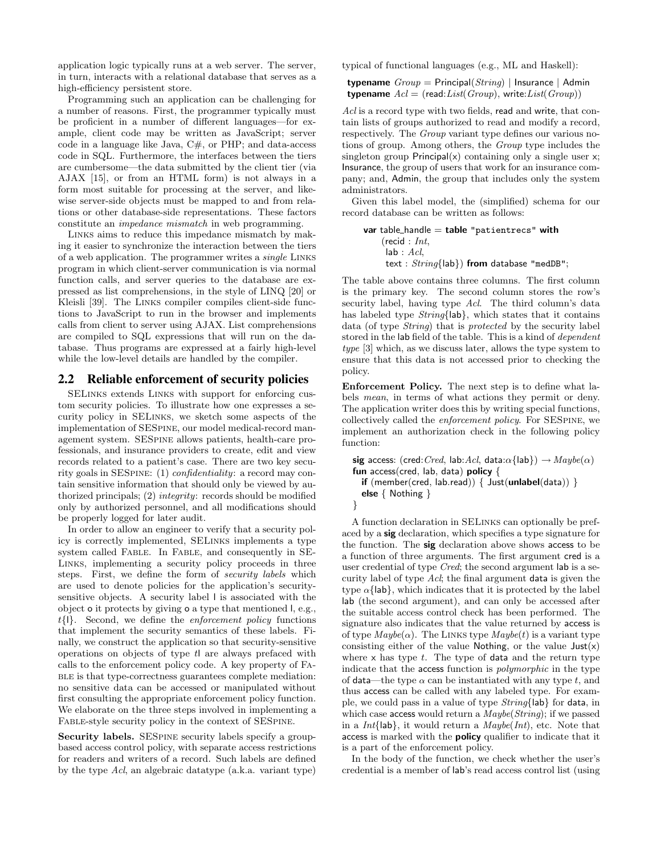application logic typically runs at a web server. The server, in turn, interacts with a relational database that serves as a high-efficiency persistent store.

Programming such an application can be challenging for a number of reasons. First, the programmer typically must be proficient in a number of different languages—for example, client code may be written as JavaScript; server code in a language like Java,  $C#$ , or PHP; and data-access code in SQL. Furthermore, the interfaces between the tiers are cumbersome—the data submitted by the client tier (via AJAX [15], or from an HTML form) is not always in a form most suitable for processing at the server, and likewise server-side objects must be mapped to and from relations or other database-side representations. These factors constitute an impedance mismatch in web programming.

Links aims to reduce this impedance mismatch by making it easier to synchronize the interaction between the tiers of a web application. The programmer writes a single Links program in which client-server communication is via normal function calls, and server queries to the database are expressed as list comprehensions, in the style of LINQ [20] or Kleisli [39]. The Links compiler compiles client-side functions to JavaScript to run in the browser and implements calls from client to server using AJAX. List comprehensions are compiled to SQL expressions that will run on the database. Thus programs are expressed at a fairly high-level while the low-level details are handled by the compiler.

## 2.2 Reliable enforcement of security policies

SELinks extends Links with support for enforcing custom security policies. To illustrate how one expresses a security policy in SELinks, we sketch some aspects of the implementation of SESpine, our model medical-record management system. SESpine allows patients, health-care professionals, and insurance providers to create, edit and view records related to a patient's case. There are two key security goals in SESpine: (1) confidentiality: a record may contain sensitive information that should only be viewed by authorized principals; (2) integrity: records should be modified only by authorized personnel, and all modifications should be properly logged for later audit.

In order to allow an engineer to verify that a security policy is correctly implemented, SELinks implements a type system called Fable. In Fable, and consequently in SE-Links, implementing a security policy proceeds in three steps. First, we define the form of security labels which are used to denote policies for the application's securitysensitive objects. A security label l is associated with the object o it protects by giving o a type that mentioned l, e.g.,  $t\{\vert\}$ . Second, we define the *enforcement policy* functions that implement the security semantics of these labels. Finally, we construct the application so that security-sensitive operations on objects of type tl are always prefaced with calls to the enforcement policy code. A key property of Fable is that type-correctness guarantees complete mediation: no sensitive data can be accessed or manipulated without first consulting the appropriate enforcement policy function. We elaborate on the three steps involved in implementing a Fable-style security policy in the context of SESpine.

Security labels. SESPINE security labels specify a groupbased access control policy, with separate access restrictions for readers and writers of a record. Such labels are defined by the type Acl, an algebraic datatype (a.k.a. variant type) typical of functional languages (e.g., ML and Haskell):

typename  $Group = Principal(String)$  | Insurance | Admin typename  $\text{Acl} = (\text{read:} \text{List}(\text{Group}), \text{write:} \text{List}(\text{Group}))$ 

Acl is a record type with two fields, read and write, that contain lists of groups authorized to read and modify a record, respectively. The Group variant type defines our various notions of group. Among others, the Group type includes the singleton group  $Principal(x)$  containing only a single user x; Insurance, the group of users that work for an insurance company; and, Admin, the group that includes only the system administrators.

Given this label model, the (simplified) schema for our record database can be written as follows:

var table\_handle  $=$  table "patientrecs" with  $(recid: Int,$  $lab: Acl,$ text :  $String{\a\}$ ) from database "medDB";

The table above contains three columns. The first column is the primary key. The second column stores the row's security label, having type Acl. The third column's data has labeled type *String*{lab}, which states that it contains data (of type String) that is protected by the security label stored in the lab field of the table. This is a kind of dependent type [3] which, as we discuss later, allows the type system to ensure that this data is not accessed prior to checking the policy.

Enforcement Policy. The next step is to define what labels mean, in terms of what actions they permit or deny. The application writer does this by writing special functions, collectively called the enforcement policy. For SESpine, we implement an authorization check in the following policy function:

sig access: (cred: Cred, lab: Acl, data: $\alpha$ {lab})  $\rightarrow$   $\text{Maybe}(\alpha)$ fun access(cred, lab, data) policy  $\{$ if  $(member(cred, lab.read)) { Just(unlabel(data)) }$ else  $\{$  Nothing  $\}$ }

A function declaration in SELinks can optionally be prefaced by a sig declaration, which specifies a type signature for the function. The sig declaration above shows access to be a function of three arguments. The first argument cred is a user credential of type Cred; the second argument lab is a security label of type Acl; the final argument data is given the type  $\alpha$ {lab}, which indicates that it is protected by the label lab (the second argument), and can only be accessed after the suitable access control check has been performed. The signature also indicates that the value returned by access is of type  $\text{Maybe}(\alpha)$ . The LINKS type  $\text{Maybe}(t)$  is a variant type consisting either of the value Nothing, or the value  $Just(x)$ where  $x$  has type  $t$ . The type of data and the return type indicate that the access function is polymorphic in the type of data—the type  $\alpha$  can be instantiated with any type t, and thus access can be called with any labeled type. For example, we could pass in a value of type String{lab} for data, in which case access would return a  $\text{Maybe}(String)$ ; if we passed in a  $Int{lab}$ , it would return a  $Maybe(Int)$ , etc. Note that access is marked with the **policy** qualifier to indicate that it is a part of the enforcement policy.

In the body of the function, we check whether the user's credential is a member of lab's read access control list (using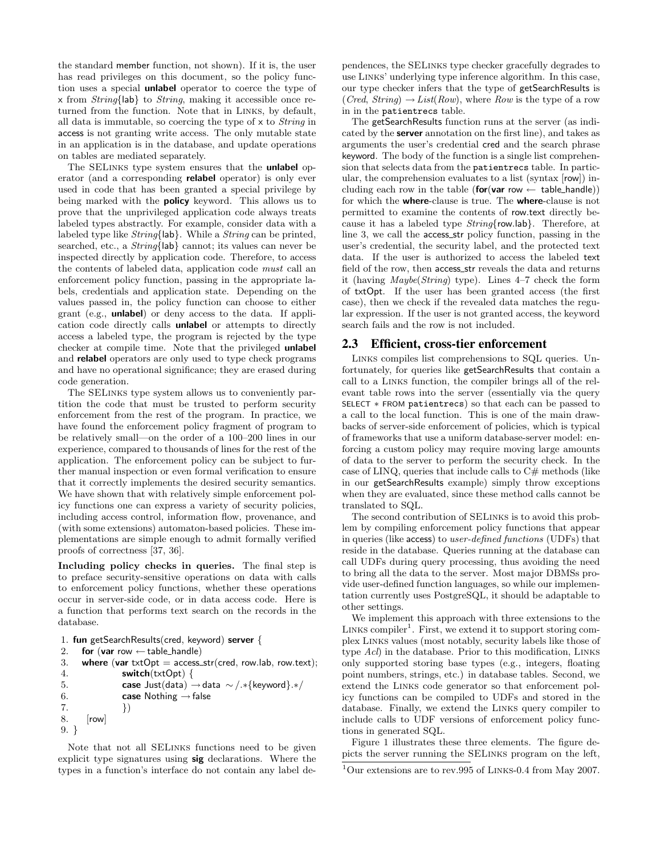the standard member function, not shown). If it is, the user has read privileges on this document, so the policy function uses a special unlabel operator to coerce the type of x from String{lab} to String, making it accessible once returned from the function. Note that in Links, by default, all data is immutable, so coercing the type of x to String in access is not granting write access. The only mutable state in an application is in the database, and update operations on tables are mediated separately.

The SELINKS type system ensures that the **unlabel** operator (and a corresponding relabel operator) is only ever used in code that has been granted a special privilege by being marked with the **policy** keyword. This allows us to prove that the unprivileged application code always treats labeled types abstractly. For example, consider data with a labeled type like String{lab}. While a String can be printed, searched, etc., a *String*{lab} cannot; its values can never be inspected directly by application code. Therefore, to access the contents of labeled data, application code must call an enforcement policy function, passing in the appropriate labels, credentials and application state. Depending on the values passed in, the policy function can choose to either grant (e.g., unlabel) or deny access to the data. If application code directly calls unlabel or attempts to directly access a labeled type, the program is rejected by the type checker at compile time. Note that the privileged unlabel and relabel operators are only used to type check programs and have no operational significance; they are erased during code generation.

The SELinks type system allows us to conveniently partition the code that must be trusted to perform security enforcement from the rest of the program. In practice, we have found the enforcement policy fragment of program to be relatively small—on the order of a 100–200 lines in our experience, compared to thousands of lines for the rest of the application. The enforcement policy can be subject to further manual inspection or even formal verification to ensure that it correctly implements the desired security semantics. We have shown that with relatively simple enforcement policy functions one can express a variety of security policies, including access control, information flow, provenance, and (with some extensions) automaton-based policies. These implementations are simple enough to admit formally verified proofs of correctness [37, 36].

Including policy checks in queries. The final step is to preface security-sensitive operations on data with calls to enforcement policy functions, whether these operations occur in server-side code, or in data access code. Here is a function that performs text search on the records in the database.

```
1. fun getSearchResults(cred, keyword) server {
2. for (var row \leftarrow table_handle)
3. where (var txtOpt = access_str(cred, row.lab, row.text);
4. switch(txtOpt) {
5. case Just(data) → data ~ /.*{keyword}.*/
6. case Nothing \rightarrow false
7. })
8. [row]
9. }
```
Note that not all SELinks functions need to be given explicit type signatures using **sig** declarations. Where the types in a function's interface do not contain any label dependences, the SELinks type checker gracefully degrades to use Links' underlying type inference algorithm. In this case, our type checker infers that the type of getSearchResults is  $(Cred, String) \rightarrow List(Row)$ , where Row is the type of a row in in the patientrecs table.

The getSearchResults function runs at the server (as indicated by the server annotation on the first line), and takes as arguments the user's credential cred and the search phrase keyword. The body of the function is a single list comprehension that selects data from the patientrecs table. In particular, the comprehension evaluates to a list (syntax [row]) including each row in the table (for(var row  $\leftarrow$  table\_handle)) for which the where-clause is true. The where-clause is not permitted to examine the contents of row.text directly because it has a labeled type String{row.lab}. Therefore, at line 3, we call the access str policy function, passing in the user's credential, the security label, and the protected text data. If the user is authorized to access the labeled text field of the row, then access\_str reveals the data and returns it (having Maybe(String) type). Lines 4–7 check the form of txtOpt. If the user has been granted access (the first case), then we check if the revealed data matches the regular expression. If the user is not granted access, the keyword search fails and the row is not included.

## 2.3 Efficient, cross-tier enforcement

Links compiles list comprehensions to SQL queries. Unfortunately, for queries like getSearchResults that contain a call to a Links function, the compiler brings all of the relevant table rows into the server (essentially via the query SELECT ∗ FROM patientrecs) so that each can be passed to a call to the local function. This is one of the main drawbacks of server-side enforcement of policies, which is typical of frameworks that use a uniform database-server model: enforcing a custom policy may require moving large amounts of data to the server to perform the security check. In the case of LINQ, queries that include calls to  $C#$  methods (like in our getSearchResults example) simply throw exceptions when they are evaluated, since these method calls cannot be translated to SQL.

The second contribution of SELinks is to avoid this problem by compiling enforcement policy functions that appear in queries (like access) to user-defined functions (UDFs) that reside in the database. Queries running at the database can call UDFs during query processing, thus avoiding the need to bring all the data to the server. Most major DBMSs provide user-defined function languages, so while our implementation currently uses PostgreSQL, it should be adaptable to other settings.

We implement this approach with three extensions to the LINKS compiler<sup>1</sup>. First, we extend it to support storing complex Links values (most notably, security labels like those of type Acl) in the database. Prior to this modification, Links only supported storing base types (e.g., integers, floating point numbers, strings, etc.) in database tables. Second, we extend the Links code generator so that enforcement policy functions can be compiled to UDFs and stored in the database. Finally, we extend the Links query compiler to include calls to UDF versions of enforcement policy functions in generated SQL.

Figure 1 illustrates these three elements. The figure depicts the server running the SELinks program on the left,

 $1$ Our extensions are to rev.995 of LINKS-0.4 from May 2007.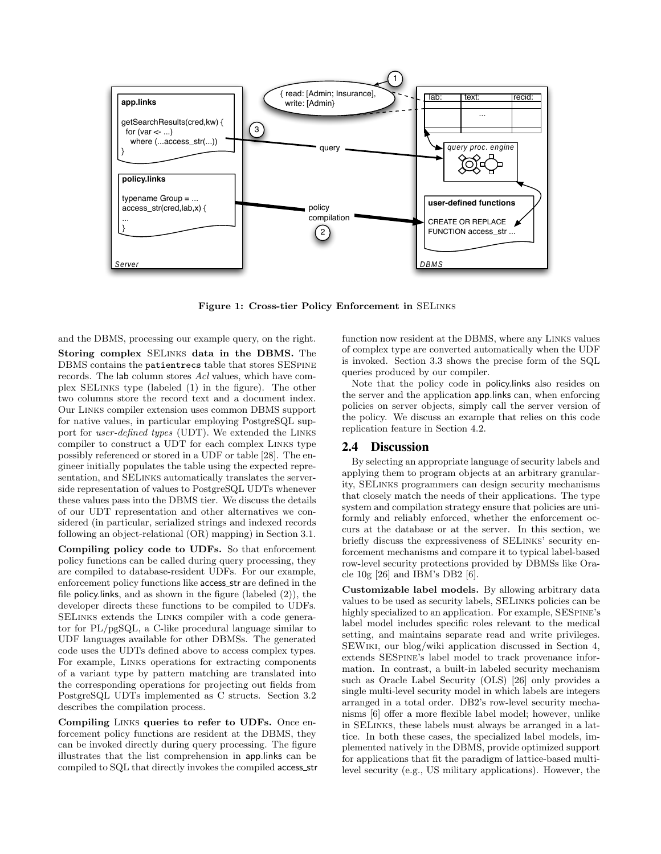

Figure 1: Cross-tier Policy Enforcement in SELinks

and the DBMS, processing our example query, on the right.

Storing complex SELinks data in the DBMS. The DBMS contains the patientrecs table that stores SESpine records. The lab column stores Acl values, which have complex SELinks type (labeled (1) in the figure). The other two columns store the record text and a document index. Our Links compiler extension uses common DBMS support for native values, in particular employing PostgreSQL support for user-defined types (UDT). We extended the Links compiler to construct a UDT for each complex Links type possibly referenced or stored in a UDF or table [28]. The engineer initially populates the table using the expected representation, and SELinks automatically translates the serverside representation of values to PostgreSQL UDTs whenever these values pass into the DBMS tier. We discuss the details of our UDT representation and other alternatives we considered (in particular, serialized strings and indexed records following an object-relational (OR) mapping) in Section 3.1.

Compiling policy code to UDFs. So that enforcement policy functions can be called during query processing, they are compiled to database-resident UDFs. For our example, enforcement policy functions like access str are defined in the file policy. links, and as shown in the figure (labeled  $(2)$ ), the developer directs these functions to be compiled to UDFs. SELinks extends the Links compiler with a code generator for PL/pgSQL, a C-like procedural language similar to UDF languages available for other DBMSs. The generated code uses the UDTs defined above to access complex types. For example, Links operations for extracting components of a variant type by pattern matching are translated into the corresponding operations for projecting out fields from PostgreSQL UDTs implemented as C structs. Section 3.2 describes the compilation process.

Compiling Links queries to refer to UDFs. Once enforcement policy functions are resident at the DBMS, they can be invoked directly during query processing. The figure illustrates that the list comprehension in app.links can be compiled to SQL that directly invokes the compiled access str function now resident at the DBMS, where any Links values of complex type are converted automatically when the UDF is invoked. Section 3.3 shows the precise form of the SQL queries produced by our compiler.

Note that the policy code in policy.links also resides on the server and the application app.links can, when enforcing policies on server objects, simply call the server version of the policy. We discuss an example that relies on this code replication feature in Section 4.2.

## 2.4 Discussion

By selecting an appropriate language of security labels and applying them to program objects at an arbitrary granularity, SELinks programmers can design security mechanisms that closely match the needs of their applications. The type system and compilation strategy ensure that policies are uniformly and reliably enforced, whether the enforcement occurs at the database or at the server. In this section, we briefly discuss the expressiveness of SELinks' security enforcement mechanisms and compare it to typical label-based row-level security protections provided by DBMSs like Oracle 10g [26] and IBM's DB2 [6].

Customizable label models. By allowing arbitrary data values to be used as security labels, SELinks policies can be highly specialized to an application. For example, SESPINE's label model includes specific roles relevant to the medical setting, and maintains separate read and write privileges. SEWiki, our blog/wiki application discussed in Section 4, extends SESpine's label model to track provenance information. In contrast, a built-in labeled security mechanism such as Oracle Label Security (OLS) [26] only provides a single multi-level security model in which labels are integers arranged in a total order. DB2's row-level security mechanisms [6] offer a more flexible label model; however, unlike in SELinks, these labels must always be arranged in a lattice. In both these cases, the specialized label models, implemented natively in the DBMS, provide optimized support for applications that fit the paradigm of lattice-based multilevel security (e.g., US military applications). However, the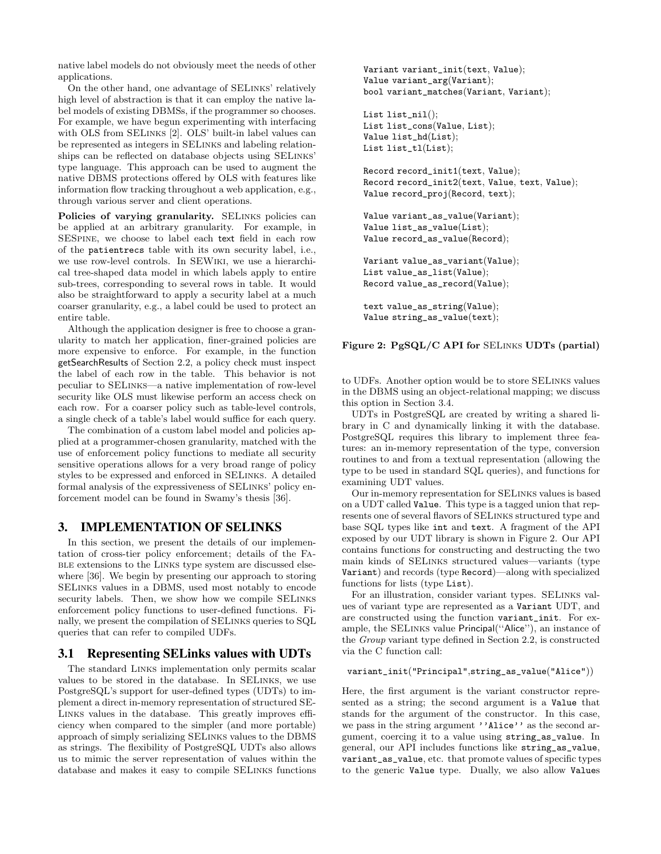native label models do not obviously meet the needs of other applications.

On the other hand, one advantage of SELinks' relatively high level of abstraction is that it can employ the native label models of existing DBMSs, if the programmer so chooses. For example, we have begun experimenting with interfacing with OLS from SELinks [2]. OLS' built-in label values can be represented as integers in SELinks and labeling relationships can be reflected on database objects using SELinks' type language. This approach can be used to augment the native DBMS protections offered by OLS with features like information flow tracking throughout a web application, e.g., through various server and client operations.

Policies of varying granularity. SELINKS policies can be applied at an arbitrary granularity. For example, in SESpine, we choose to label each text field in each row of the patientrecs table with its own security label, i.e., we use row-level controls. In SEWiki, we use a hierarchical tree-shaped data model in which labels apply to entire sub-trees, corresponding to several rows in table. It would also be straightforward to apply a security label at a much coarser granularity, e.g., a label could be used to protect an entire table.

Although the application designer is free to choose a granularity to match her application, finer-grained policies are more expensive to enforce. For example, in the function getSearchResults of Section 2.2, a policy check must inspect the label of each row in the table. This behavior is not peculiar to SELinks—a native implementation of row-level security like OLS must likewise perform an access check on each row. For a coarser policy such as table-level controls, a single check of a table's label would suffice for each query.

The combination of a custom label model and policies applied at a programmer-chosen granularity, matched with the use of enforcement policy functions to mediate all security sensitive operations allows for a very broad range of policy styles to be expressed and enforced in SELinks. A detailed formal analysis of the expressiveness of SELinks' policy enforcement model can be found in Swamy's thesis [36].

# 3. IMPLEMENTATION OF SELINKS

In this section, we present the details of our implementation of cross-tier policy enforcement; details of the Fable extensions to the Links type system are discussed elsewhere [36]. We begin by presenting our approach to storing SELinks values in a DBMS, used most notably to encode security labels. Then, we show how we compile SELINKS enforcement policy functions to user-defined functions. Finally, we present the compilation of SELinks queries to SQL queries that can refer to compiled UDFs.

## 3.1 Representing SELinks values with UDTs

The standard Links implementation only permits scalar values to be stored in the database. In SELinks, we use PostgreSQL's support for user-defined types (UDTs) to implement a direct in-memory representation of structured SE-Links values in the database. This greatly improves efficiency when compared to the simpler (and more portable) approach of simply serializing SELinks values to the DBMS as strings. The flexibility of PostgreSQL UDTs also allows us to mimic the server representation of values within the database and makes it easy to compile SELinks functions

Variant variant\_init(text, Value); Value variant\_arg(Variant); bool variant\_matches(Variant, Variant);

```
List list_nil();
List list_cons(Value, List);
Value list_hd(List);
List list_tl(List);
```
Record record\_init1(text, Value); Record record\_init2(text, Value, text, Value); Value record\_proj(Record, text);

```
Value variant_as_value(Variant);
Value list_as_value(List);
Value record_as_value(Record);
```

```
Variant value_as_variant(Value);
List value_as_list(Value);
Record value_as_record(Value);
```
text value\_as\_string(Value); Value string\_as\_value(text);

#### Figure 2: PgSQL/C API for SELinks UDTs (partial)

to UDFs. Another option would be to store SELinks values in the DBMS using an object-relational mapping; we discuss this option in Section 3.4.

UDTs in PostgreSQL are created by writing a shared library in C and dynamically linking it with the database. PostgreSQL requires this library to implement three features: an in-memory representation of the type, conversion routines to and from a textual representation (allowing the type to be used in standard SQL queries), and functions for examining UDT values.

Our in-memory representation for SELinks values is based on a UDT called Value. This type is a tagged union that represents one of several flavors of SELinks structured type and base SQL types like int and text. A fragment of the API exposed by our UDT library is shown in Figure 2. Our API contains functions for constructing and destructing the two main kinds of SELinks structured values—variants (type Variant) and records (type Record)—along with specialized functions for lists (type List).

For an illustration, consider variant types. SELinks values of variant type are represented as a Variant UDT, and are constructed using the function variant\_init. For example, the SELinks value Principal(''Alice''), an instance of the Group variant type defined in Section 2.2, is constructed via the C function call:

#### variant\_init("Principal",string\_as\_value("Alice"))

Here, the first argument is the variant constructor represented as a string; the second argument is a Value that stands for the argument of the constructor. In this case, we pass in the string argument ''Alice'' as the second argument, coercing it to a value using string\_as\_value. In general, our API includes functions like string\_as\_value, variant\_as\_value, etc. that promote values of specific types to the generic Value type. Dually, we also allow Values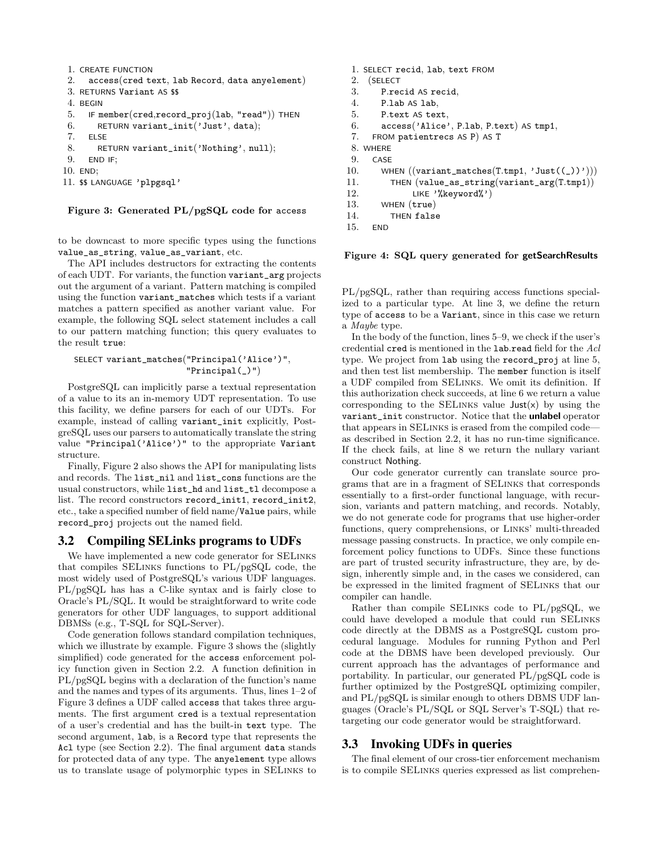```
1. CREATE FUNCTION
 2. access(cred text, lab Record, data anyelement)
3. RETURNS Variant AS $$
4. BEGIN
5. IF member(cred,record_proj(lab, "read")) THEN
 6. RETURN variant_init('Just', data);
7. ELSE
8. RETURN variant_init('Nothing', null);
9. END IF;
10. END;
```

```
11. $$ LANGUAGE 'plpgsql'
```
#### Figure 3: Generated PL/pgSQL code for access

to be downcast to more specific types using the functions value\_as\_string, value\_as\_variant, etc.

The API includes destructors for extracting the contents of each UDT. For variants, the function variant\_arg projects out the argument of a variant. Pattern matching is compiled using the function variant\_matches which tests if a variant matches a pattern specified as another variant value. For example, the following SQL select statement includes a call to our pattern matching function; this query evaluates to the result true:

```
SELECT variant_matches("Principal('Alice')",
                       "Principal(_)")
```
PostgreSQL can implicitly parse a textual representation of a value to its an in-memory UDT representation. To use this facility, we define parsers for each of our UDTs. For example, instead of calling variant\_init explicitly, PostgreSQL uses our parsers to automatically translate the string value "Principal('Alice')" to the appropriate Variant structure.

Finally, Figure 2 also shows the API for manipulating lists and records. The list\_nil and list\_cons functions are the usual constructors, while list\_hd and list\_tl decompose a list. The record constructors record\_init1, record\_init2, etc., take a specified number of field name/Value pairs, while record\_proj projects out the named field.

## 3.2 Compiling SELinks programs to UDFs

We have implemented a new code generator for SELinks that compiles SELinks functions to PL/pgSQL code, the most widely used of PostgreSQL's various UDF languages. PL/pgSQL has has a C-like syntax and is fairly close to Oracle's PL/SQL. It would be straightforward to write code generators for other UDF languages, to support additional DBMSs (e.g., T-SQL for SQL-Server).

Code generation follows standard compilation techniques, which we illustrate by example. Figure 3 shows the (slightly simplified) code generated for the **access** enforcement policy function given in Section 2.2. A function definition in PL/pgSQL begins with a declaration of the function's name and the names and types of its arguments. Thus, lines 1–2 of Figure 3 defines a UDF called access that takes three arguments. The first argument cred is a textual representation of a user's credential and has the built-in text type. The second argument, lab, is a Record type that represents the Acl type (see Section 2.2). The final argument data stands for protected data of any type. The anyelement type allows us to translate usage of polymorphic types in SELinks to

```
1. SELECT recid, lab, text FROM
2. (SELECT
3. P.recid AS recid,
 4. P.lab AS lab,
 5. P.text AS text,
6. access('Alice', P.lab, P.text) AS tmp1,
7. FROM patientrecs AS P) AS T
8. WHERE
9. CASE
10. WHEN ((variant\_matches(T.tmp1, 'Just((\_))')))11. THEN (value_as_string(variant_arg(T.tmp1))
12. LIKE '%keyword", ')
13. WHEN (true)
14. THEN false
15. END
```
#### Figure 4: SQL query generated for getSearchResults

PL/pgSQL, rather than requiring access functions specialized to a particular type. At line 3, we define the return type of access to be a Variant, since in this case we return a Maybe type.

In the body of the function, lines 5–9, we check if the user's credential cred is mentioned in the lab.read field for the Acl type. We project from lab using the record\_proj at line 5, and then test list membership. The member function is itself a UDF compiled from SELinks. We omit its definition. If this authorization check succeeds, at line 6 we return a value corresponding to the SELINKS value  $Just(x)$  by using the variant\_init constructor. Notice that the unlabel operator that appears in SELinks is erased from the compiled code as described in Section 2.2, it has no run-time significance. If the check fails, at line 8 we return the nullary variant construct Nothing.

Our code generator currently can translate source programs that are in a fragment of SELinks that corresponds essentially to a first-order functional language, with recursion, variants and pattern matching, and records. Notably, we do not generate code for programs that use higher-order functions, query comprehensions, or Links' multi-threaded message passing constructs. In practice, we only compile enforcement policy functions to UDFs. Since these functions are part of trusted security infrastructure, they are, by design, inherently simple and, in the cases we considered, can be expressed in the limited fragment of SELinks that our compiler can handle.

Rather than compile SELinks code to PL/pgSQL, we could have developed a module that could run SELinks code directly at the DBMS as a PostgreSQL custom procedural language. Modules for running Python and Perl code at the DBMS have been developed previously. Our current approach has the advantages of performance and portability. In particular, our generated PL/pgSQL code is further optimized by the PostgreSQL optimizing compiler, and PL/pgSQL is similar enough to others DBMS UDF languages (Oracle's PL/SQL or SQL Server's T-SQL) that retargeting our code generator would be straightforward.

## 3.3 Invoking UDFs in queries

The final element of our cross-tier enforcement mechanism is to compile SELinks queries expressed as list comprehen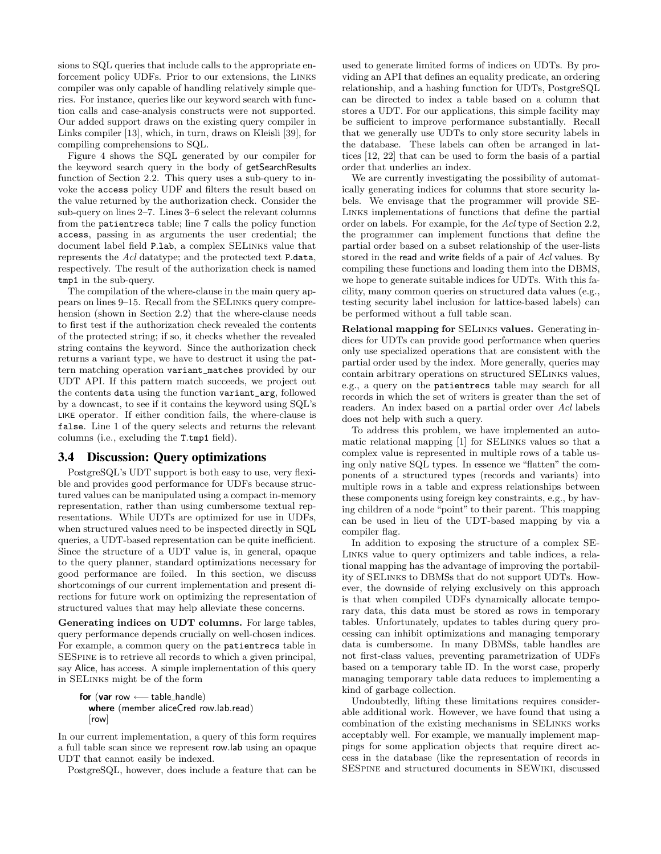sions to SQL queries that include calls to the appropriate enforcement policy UDFs. Prior to our extensions, the Links compiler was only capable of handling relatively simple queries. For instance, queries like our keyword search with function calls and case-analysis constructs were not supported. Our added support draws on the existing query compiler in Links compiler [13], which, in turn, draws on Kleisli [39], for compiling comprehensions to SQL.

Figure 4 shows the SQL generated by our compiler for the keyword search query in the body of getSearchResults function of Section 2.2. This query uses a sub-query to invoke the access policy UDF and filters the result based on the value returned by the authorization check. Consider the sub-query on lines 2–7. Lines 3–6 select the relevant columns from the patientrecs table; line 7 calls the policy function access, passing in as arguments the user credential; the document label field P.lab, a complex SELinks value that represents the Acl datatype; and the protected text P.data, respectively. The result of the authorization check is named tmp1 in the sub-query.

The compilation of the where-clause in the main query appears on lines 9–15. Recall from the SELinks query comprehension (shown in Section 2.2) that the where-clause needs to first test if the authorization check revealed the contents of the protected string; if so, it checks whether the revealed string contains the keyword. Since the authorization check returns a variant type, we have to destruct it using the pattern matching operation variant\_matches provided by our UDT API. If this pattern match succeeds, we project out the contents data using the function variant\_arg, followed by a downcast, to see if it contains the keyword using SQL's LIKE operator. If either condition fails, the where-clause is false. Line 1 of the query selects and returns the relevant columns (i.e., excluding the T.tmp1 field).

## 3.4 Discussion: Query optimizations

PostgreSQL's UDT support is both easy to use, very flexible and provides good performance for UDFs because structured values can be manipulated using a compact in-memory representation, rather than using cumbersome textual representations. While UDTs are optimized for use in UDFs, when structured values need to be inspected directly in SQL queries, a UDT-based representation can be quite inefficient. Since the structure of a UDT value is, in general, opaque to the query planner, standard optimizations necessary for good performance are foiled. In this section, we discuss shortcomings of our current implementation and present directions for future work on optimizing the representation of structured values that may help alleviate these concerns.

Generating indices on UDT columns. For large tables, query performance depends crucially on well-chosen indices. For example, a common query on the patientrecs table in SESpine is to retrieve all records to which a given principal, say Alice, has access. A simple implementation of this query in SELinks might be of the form

```
for (var row \longleftarrow table_handle)
  where (member aliceCred row.lab.read)
  [row]
```
In our current implementation, a query of this form requires a full table scan since we represent row.lab using an opaque UDT that cannot easily be indexed.

PostgreSQL, however, does include a feature that can be

used to generate limited forms of indices on UDTs. By providing an API that defines an equality predicate, an ordering relationship, and a hashing function for UDTs, PostgreSQL can be directed to index a table based on a column that stores a UDT. For our applications, this simple facility may be sufficient to improve performance substantially. Recall that we generally use UDTs to only store security labels in the database. These labels can often be arranged in lattices [12, 22] that can be used to form the basis of a partial order that underlies an index.

We are currently investigating the possibility of automatically generating indices for columns that store security labels. We envisage that the programmer will provide SE-Links implementations of functions that define the partial order on labels. For example, for the Acl type of Section 2.2, the programmer can implement functions that define the partial order based on a subset relationship of the user-lists stored in the read and write fields of a pair of Acl values. By compiling these functions and loading them into the DBMS, we hope to generate suitable indices for UDTs. With this facility, many common queries on structured data values (e.g., testing security label inclusion for lattice-based labels) can be performed without a full table scan.

Relational mapping for SELinks values. Generating indices for UDTs can provide good performance when queries only use specialized operations that are consistent with the partial order used by the index. More generally, queries may contain arbitrary operations on structured SELinks values, e.g., a query on the patientrecs table may search for all records in which the set of writers is greater than the set of readers. An index based on a partial order over Acl labels does not help with such a query.

To address this problem, we have implemented an automatic relational mapping [1] for SELinks values so that a complex value is represented in multiple rows of a table using only native SQL types. In essence we "flatten" the components of a structured types (records and variants) into multiple rows in a table and express relationships between these components using foreign key constraints, e.g., by having children of a node "point" to their parent. This mapping can be used in lieu of the UDT-based mapping by via a compiler flag.

In addition to exposing the structure of a complex SE-Links value to query optimizers and table indices, a relational mapping has the advantage of improving the portability of SELinks to DBMSs that do not support UDTs. However, the downside of relying exclusively on this approach is that when compiled UDFs dynamically allocate temporary data, this data must be stored as rows in temporary tables. Unfortunately, updates to tables during query processing can inhibit optimizations and managing temporary data is cumbersome. In many DBMSs, table handles are not first-class values, preventing parametrization of UDFs based on a temporary table ID. In the worst case, properly managing temporary table data reduces to implementing a kind of garbage collection.

Undoubtedly, lifting these limitations requires considerable additional work. However, we have found that using a combination of the existing mechanisms in SELinks works acceptably well. For example, we manually implement mappings for some application objects that require direct access in the database (like the representation of records in SESpine and structured documents in SEWiki, discussed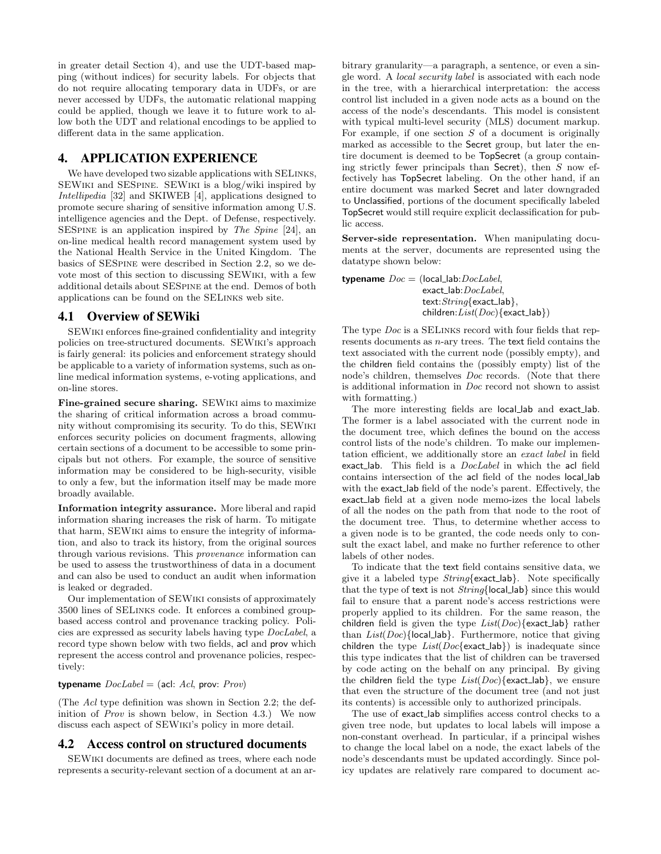in greater detail Section 4), and use the UDT-based mapping (without indices) for security labels. For objects that do not require allocating temporary data in UDFs, or are never accessed by UDFs, the automatic relational mapping could be applied, though we leave it to future work to allow both the UDT and relational encodings to be applied to different data in the same application.

# 4. APPLICATION EXPERIENCE

We have developed two sizable applications with SELinks, SEWiki and SESpine. SEWiki is a blog/wiki inspired by Intellipedia [32] and SKIWEB [4], applications designed to promote secure sharing of sensitive information among U.S. intelligence agencies and the Dept. of Defense, respectively. SESPINE is an application inspired by The Spine  $[24]$ , an on-line medical health record management system used by the National Health Service in the United Kingdom. The basics of SESpine were described in Section 2.2, so we devote most of this section to discussing SEWiki, with a few additional details about SESpine at the end. Demos of both applications can be found on the SELinks web site.

## 4.1 Overview of SEWiki

SEWiki enforces fine-grained confidentiality and integrity policies on tree-structured documents. SEWiki's approach is fairly general: its policies and enforcement strategy should be applicable to a variety of information systems, such as online medical information systems, e-voting applications, and on-line stores.

Fine-grained secure sharing. SEWiki aims to maximize the sharing of critical information across a broad community without compromising its security. To do this, SEWiki enforces security policies on document fragments, allowing certain sections of a document to be accessible to some principals but not others. For example, the source of sensitive information may be considered to be high-security, visible to only a few, but the information itself may be made more broadly available.

Information integrity assurance. More liberal and rapid information sharing increases the risk of harm. To mitigate that harm, SEWiki aims to ensure the integrity of information, and also to track its history, from the original sources through various revisions. This provenance information can be used to assess the trustworthiness of data in a document and can also be used to conduct an audit when information is leaked or degraded.

Our implementation of SEWiki consists of approximately 3500 lines of SELinks code. It enforces a combined groupbased access control and provenance tracking policy. Policies are expressed as security labels having type DocLabel, a record type shown below with two fields, acl and prov which represent the access control and provenance policies, respectively:

#### typename  $DocLabel = (acl: Acl, prov: Prov)$

(The Acl type definition was shown in Section 2.2; the definition of *Prov* is shown below, in Section 4.3.) We now discuss each aspect of SEWiki's policy in more detail.

#### 4.2 Access control on structured documents

SEWiki documents are defined as trees, where each node represents a security-relevant section of a document at an arbitrary granularity—a paragraph, a sentence, or even a single word. A local security label is associated with each node in the tree, with a hierarchical interpretation: the access control list included in a given node acts as a bound on the access of the node's descendants. This model is consistent with typical multi-level security (MLS) document markup. For example, if one section  $S$  of a document is originally marked as accessible to the Secret group, but later the entire document is deemed to be TopSecret (a group containing strictly fewer principals than Secret), then  $S$  now effectively has TopSecret labeling. On the other hand, if an entire document was marked Secret and later downgraded to Unclassified, portions of the document specifically labeled TopSecret would still require explicit declassification for public access.

Server-side representation. When manipulating documents at the server, documents are represented using the datatype shown below:

typename  $Doc = (local\_lab:DocLabel,$ exact\_lab: DocLabel, text: String {exact\_lab}, children:  $List(Doc)$ {exact\_lab})

The type  $Doc$  is a SELINKS record with four fields that represents documents as n-ary trees. The text field contains the text associated with the current node (possibly empty), and the children field contains the (possibly empty) list of the node's children, themselves Doc records. (Note that there is additional information in Doc record not shown to assist with formatting.)

The more interesting fields are local\_lab and exact\_lab. The former is a label associated with the current node in the document tree, which defines the bound on the access control lists of the node's children. To make our implementation efficient, we additionally store an exact label in field exact\_lab. This field is a *DocLabel* in which the acl field contains intersection of the acl field of the nodes local lab with the exact\_lab field of the node's parent. Effectively, the exact lab field at a given node memo-izes the local labels of all the nodes on the path from that node to the root of the document tree. Thus, to determine whether access to a given node is to be granted, the code needs only to consult the exact label, and make no further reference to other labels of other nodes.

To indicate that the text field contains sensitive data, we give it a labeled type String{exact lab}. Note specifically that the type of text is not *String*{local\_lab} since this would fail to ensure that a parent node's access restrictions were properly applied to its children. For the same reason, the children field is given the type  $List(Doc)$ {exact\_lab} rather than  $List(Doc)$ {local\_lab}. Furthermore, notice that giving children the type  $List(Doc\{\text{exact}\_\text{lab}\})$  is inadequate since this type indicates that the list of children can be traversed by code acting on the behalf on any principal. By giving the children field the type  $List(Doc)$ {exact\_lab}, we ensure that even the structure of the document tree (and not just its contents) is accessible only to authorized principals.

The use of exact lab simplifies access control checks to a given tree node, but updates to local labels will impose a non-constant overhead. In particular, if a principal wishes to change the local label on a node, the exact labels of the node's descendants must be updated accordingly. Since policy updates are relatively rare compared to document ac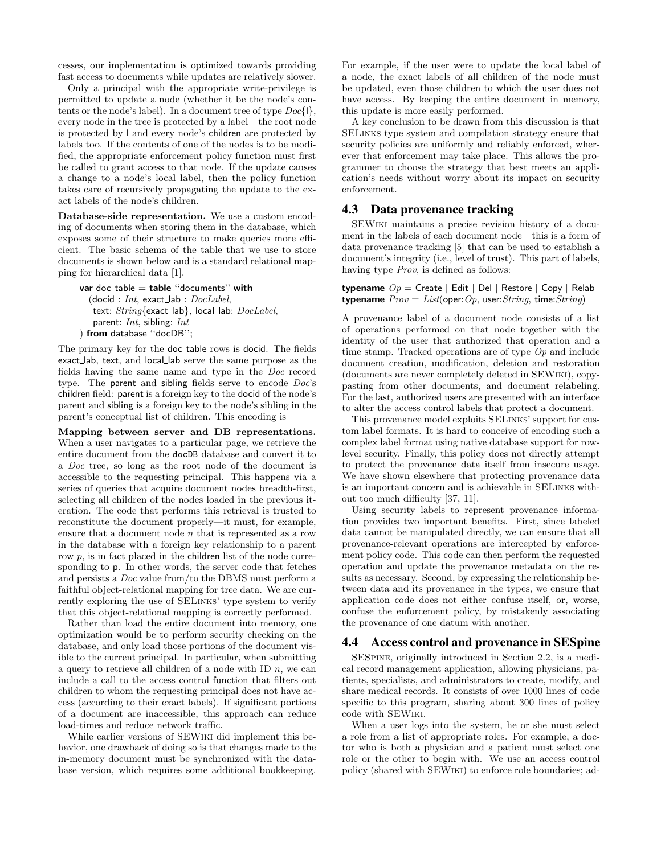cesses, our implementation is optimized towards providing fast access to documents while updates are relatively slower.

Only a principal with the appropriate write-privilege is permitted to update a node (whether it be the node's contents or the node's label). In a document tree of type  $Doc\{1\},$ every node in the tree is protected by a label—the root node is protected by l and every node's children are protected by labels too. If the contents of one of the nodes is to be modified, the appropriate enforcement policy function must first be called to grant access to that node. If the update causes a change to a node's local label, then the policy function takes care of recursively propagating the update to the exact labels of the node's children.

Database-side representation. We use a custom encoding of documents when storing them in the database, which exposes some of their structure to make queries more efficient. The basic schema of the table that we use to store documents is shown below and is a standard relational mapping for hierarchical data [1].

```
var doc table = table "documents" with
  (docid : Int, exact lab : DocLabel,
  text: String{exact_lab}, local_lab: DocLabel,
   parent: Int, sibling: Int
) from database ''docDB'';
```
The primary key for the doc\_table rows is docid. The fields exact\_lab, text, and local\_lab serve the same purpose as the fields having the same name and type in the Doc record type. The parent and sibling fields serve to encode Doc's children field: parent is a foreign key to the docid of the node's parent and sibling is a foreign key to the node's sibling in the parent's conceptual list of children. This encoding is

Mapping between server and DB representations. When a user navigates to a particular page, we retrieve the entire document from the docDB database and convert it to a Doc tree, so long as the root node of the document is accessible to the requesting principal. This happens via a series of queries that acquire document nodes breadth-first, selecting all children of the nodes loaded in the previous iteration. The code that performs this retrieval is trusted to reconstitute the document properly—it must, for example, ensure that a document node  $n$  that is represented as a row in the database with a foreign key relationship to a parent row p, is in fact placed in the children list of the node corresponding to p. In other words, the server code that fetches and persists a Doc value from/to the DBMS must perform a faithful object-relational mapping for tree data. We are currently exploring the use of SELinks' type system to verify that this object-relational mapping is correctly performed.

Rather than load the entire document into memory, one optimization would be to perform security checking on the database, and only load those portions of the document visible to the current principal. In particular, when submitting a query to retrieve all children of a node with ID  $n$ , we can include a call to the access control function that filters out children to whom the requesting principal does not have access (according to their exact labels). If significant portions of a document are inaccessible, this approach can reduce load-times and reduce network traffic.

While earlier versions of SEWiki did implement this behavior, one drawback of doing so is that changes made to the in-memory document must be synchronized with the database version, which requires some additional bookkeeping. For example, if the user were to update the local label of a node, the exact labels of all children of the node must be updated, even those children to which the user does not have access. By keeping the entire document in memory, this update is more easily performed.

A key conclusion to be drawn from this discussion is that SELinks type system and compilation strategy ensure that security policies are uniformly and reliably enforced, wherever that enforcement may take place. This allows the programmer to choose the strategy that best meets an application's needs without worry about its impact on security enforcement.

#### 4.3 Data provenance tracking

SEWiki maintains a precise revision history of a document in the labels of each document node—this is a form of data provenance tracking [5] that can be used to establish a document's integrity (i.e., level of trust). This part of labels, having type *Prov*, is defined as follows:

#### typename  $Op =$  Create | Edit | Del | Restore | Copy | Relab typename  $Prov = List(open:Op, user:String, time:String)$

A provenance label of a document node consists of a list of operations performed on that node together with the identity of the user that authorized that operation and a time stamp. Tracked operations are of type Op and include document creation, modification, deletion and restoration (documents are never completely deleted in SEWiki), copypasting from other documents, and document relabeling. For the last, authorized users are presented with an interface to alter the access control labels that protect a document.

This provenance model exploits SELinks' support for custom label formats. It is hard to conceive of encoding such a complex label format using native database support for rowlevel security. Finally, this policy does not directly attempt to protect the provenance data itself from insecure usage. We have shown elsewhere that protecting provenance data is an important concern and is achievable in SELinks without too much difficulty [37, 11].

Using security labels to represent provenance information provides two important benefits. First, since labeled data cannot be manipulated directly, we can ensure that all provenance-relevant operations are intercepted by enforcement policy code. This code can then perform the requested operation and update the provenance metadata on the results as necessary. Second, by expressing the relationship between data and its provenance in the types, we ensure that application code does not either confuse itself, or, worse, confuse the enforcement policy, by mistakenly associating the provenance of one datum with another.

#### 4.4 Access control and provenance in SESpine

SESpine, originally introduced in Section 2.2, is a medical record management application, allowing physicians, patients, specialists, and administrators to create, modify, and share medical records. It consists of over 1000 lines of code specific to this program, sharing about 300 lines of policy code with SEWiki.

When a user logs into the system, he or she must select a role from a list of appropriate roles. For example, a doctor who is both a physician and a patient must select one role or the other to begin with. We use an access control policy (shared with SEWiki) to enforce role boundaries; ad-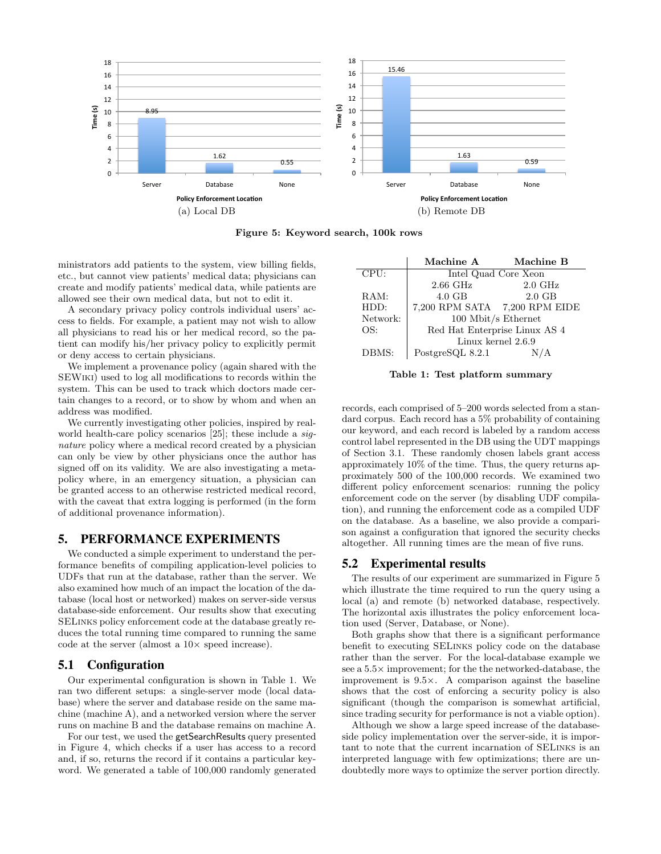

Figure 5: Keyword search, 100k rows

ministrators add patients to the system, view billing fields, etc., but cannot view patients' medical data; physicians can create and modify patients' medical data, while patients are allowed see their own medical data, but not to edit it.

A secondary privacy policy controls individual users' access to fields. For example, a patient may not wish to allow all physicians to read his or her medical record, so the patient can modify his/her privacy policy to explicitly permit or deny access to certain physicians.

We implement a provenance policy (again shared with the SEWiki) used to log all modifications to records within the system. This can be used to track which doctors made certain changes to a record, or to show by whom and when an address was modified.

We currently investigating other policies, inspired by realworld health-care policy scenarios [25]; these include a signature policy where a medical record created by a physician can only be view by other physicians once the author has signed off on its validity. We are also investigating a metapolicy where, in an emergency situation, a physician can be granted access to an otherwise restricted medical record, with the caveat that extra logging is performed (in the form of additional provenance information).

## 5. PERFORMANCE EXPERIMENTS

We conducted a simple experiment to understand the performance benefits of compiling application-level policies to UDFs that run at the database, rather than the server. We also examined how much of an impact the location of the database (local host or networked) makes on server-side versus database-side enforcement. Our results show that executing SELinks policy enforcement code at the database greatly reduces the total running time compared to running the same code at the server (almost a  $10\times$  speed increase).

#### 5.1 Configuration

Our experimental configuration is shown in Table 1. We ran two different setups: a single-server mode (local database) where the server and database reside on the same machine (machine A), and a networked version where the server runs on machine B and the database remains on machine A.

For our test, we used the getSearchResults query presented in Figure 4, which checks if a user has access to a record and, if so, returns the record if it contains a particular keyword. We generated a table of 100,000 randomly generated

|          | Machine A                             | Machine B         |
|----------|---------------------------------------|-------------------|
| $CPII$ : | Intel Quad Core Xeon                  |                   |
|          | $2.66$ GHz                            | $2.0 \text{ GHz}$ |
| RAM:     | $4.0 \text{ GB}$                      | $2.0 \text{ GB}$  |
| HDD:     | 7,200 RPM SATA 7,200 RPM EIDE         |                   |
| Network: | 100 Mbit/s Ethernet                   |                   |
| OS:      | $\rm Red$ Hat Enterprise Linux AS $4$ |                   |
|          | Linux kernel 2.6.9                    |                   |
| DBMS:    | PostgreSQL 8.2.1                      | N/A               |

Table 1: Test platform summary

records, each comprised of 5–200 words selected from a standard corpus. Each record has a 5% probability of containing our keyword, and each record is labeled by a random access control label represented in the DB using the UDT mappings of Section 3.1. These randomly chosen labels grant access approximately 10% of the time. Thus, the query returns approximately 500 of the 100,000 records. We examined two different policy enforcement scenarios: running the policy enforcement code on the server (by disabling UDF compilation), and running the enforcement code as a compiled UDF on the database. As a baseline, we also provide a comparison against a configuration that ignored the security checks altogether. All running times are the mean of five runs.

## 5.2 Experimental results

The results of our experiment are summarized in Figure 5 which illustrate the time required to run the query using a local (a) and remote (b) networked database, respectively. The horizontal axis illustrates the policy enforcement location used (Server, Database, or None).

Both graphs show that there is a significant performance benefit to executing SELinks policy code on the database rather than the server. For the local-database example we see a 5.5× improvement; for the the networked-database, the improvement is  $9.5 \times$ . A comparison against the baseline shows that the cost of enforcing a security policy is also significant (though the comparison is somewhat artificial, since trading security for performance is not a viable option).

Although we show a large speed increase of the databaseside policy implementation over the server-side, it is important to note that the current incarnation of SELinks is an interpreted language with few optimizations; there are undoubtedly more ways to optimize the server portion directly.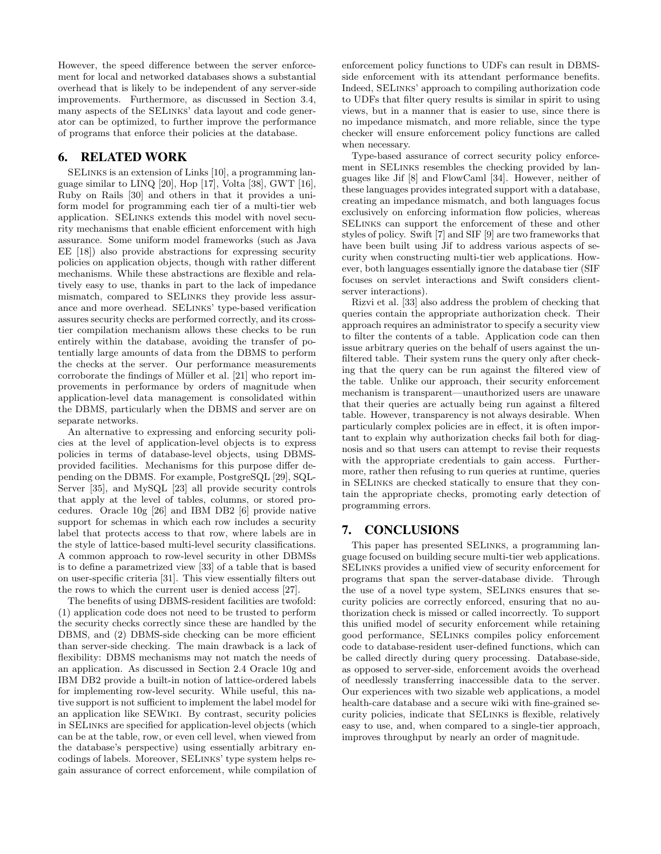However, the speed difference between the server enforcement for local and networked databases shows a substantial overhead that is likely to be independent of any server-side improvements. Furthermore, as discussed in Section 3.4, many aspects of the SELinks' data layout and code generator can be optimized, to further improve the performance of programs that enforce their policies at the database.

# 6. RELATED WORK

SELinks is an extension of Links [10], a programming language similar to LINQ [20], Hop [17], Volta [38], GWT [16], Ruby on Rails [30] and others in that it provides a uniform model for programming each tier of a multi-tier web application. SELinks extends this model with novel security mechanisms that enable efficient enforcement with high assurance. Some uniform model frameworks (such as Java EE [18]) also provide abstractions for expressing security policies on application objects, though with rather different mechanisms. While these abstractions are flexible and relatively easy to use, thanks in part to the lack of impedance mismatch, compared to SELinks they provide less assurance and more overhead. SELinks' type-based verification assures security checks are performed correctly, and its crosstier compilation mechanism allows these checks to be run entirely within the database, avoiding the transfer of potentially large amounts of data from the DBMS to perform the checks at the server. Our performance measurements corroborate the findings of Müller et al.  $[21]$  who report improvements in performance by orders of magnitude when application-level data management is consolidated within the DBMS, particularly when the DBMS and server are on separate networks.

An alternative to expressing and enforcing security policies at the level of application-level objects is to express policies in terms of database-level objects, using DBMSprovided facilities. Mechanisms for this purpose differ depending on the DBMS. For example, PostgreSQL [29], SQL-Server [35], and MySQL [23] all provide security controls that apply at the level of tables, columns, or stored procedures. Oracle 10g [26] and IBM DB2 [6] provide native support for schemas in which each row includes a security label that protects access to that row, where labels are in the style of lattice-based multi-level security classifications. A common approach to row-level security in other DBMSs is to define a parametrized view [33] of a table that is based on user-specific criteria [31]. This view essentially filters out the rows to which the current user is denied access [27].

The benefits of using DBMS-resident facilities are twofold: (1) application code does not need to be trusted to perform the security checks correctly since these are handled by the DBMS, and (2) DBMS-side checking can be more efficient than server-side checking. The main drawback is a lack of flexibility: DBMS mechanisms may not match the needs of an application. As discussed in Section 2.4 Oracle 10g and IBM DB2 provide a built-in notion of lattice-ordered labels for implementing row-level security. While useful, this native support is not sufficient to implement the label model for an application like SEWiki. By contrast, security policies in SELinks are specified for application-level objects (which can be at the table, row, or even cell level, when viewed from the database's perspective) using essentially arbitrary encodings of labels. Moreover, SELinks' type system helps regain assurance of correct enforcement, while compilation of enforcement policy functions to UDFs can result in DBMSside enforcement with its attendant performance benefits. Indeed, SELinks' approach to compiling authorization code to UDFs that filter query results is similar in spirit to using views, but in a manner that is easier to use, since there is no impedance mismatch, and more reliable, since the type checker will ensure enforcement policy functions are called when necessary.

Type-based assurance of correct security policy enforcement in SELinks resembles the checking provided by languages like Jif [8] and FlowCaml [34]. However, neither of these languages provides integrated support with a database, creating an impedance mismatch, and both languages focus exclusively on enforcing information flow policies, whereas SELinks can support the enforcement of these and other styles of policy. Swift [7] and SIF [9] are two frameworks that have been built using Jif to address various aspects of security when constructing multi-tier web applications. However, both languages essentially ignore the database tier (SIF focuses on servlet interactions and Swift considers clientserver interactions).

Rizvi et al. [33] also address the problem of checking that queries contain the appropriate authorization check. Their approach requires an administrator to specify a security view to filter the contents of a table. Application code can then issue arbitrary queries on the behalf of users against the unfiltered table. Their system runs the query only after checking that the query can be run against the filtered view of the table. Unlike our approach, their security enforcement mechanism is transparent—unauthorized users are unaware that their queries are actually being run against a filtered table. However, transparency is not always desirable. When particularly complex policies are in effect, it is often important to explain why authorization checks fail both for diagnosis and so that users can attempt to revise their requests with the appropriate credentials to gain access. Furthermore, rather then refusing to run queries at runtime, queries in SELinks are checked statically to ensure that they contain the appropriate checks, promoting early detection of programming errors.

# 7. CONCLUSIONS

This paper has presented SELinks, a programming language focused on building secure multi-tier web applications. SELinks provides a unified view of security enforcement for programs that span the server-database divide. Through the use of a novel type system, SELinks ensures that security policies are correctly enforced, ensuring that no authorization check is missed or called incorrectly. To support this unified model of security enforcement while retaining good performance, SELinks compiles policy enforcement code to database-resident user-defined functions, which can be called directly during query processing. Database-side, as opposed to server-side, enforcement avoids the overhead of needlessly transferring inaccessible data to the server. Our experiences with two sizable web applications, a model health-care database and a secure wiki with fine-grained security policies, indicate that SELinks is flexible, relatively easy to use, and, when compared to a single-tier approach, improves throughput by nearly an order of magnitude.